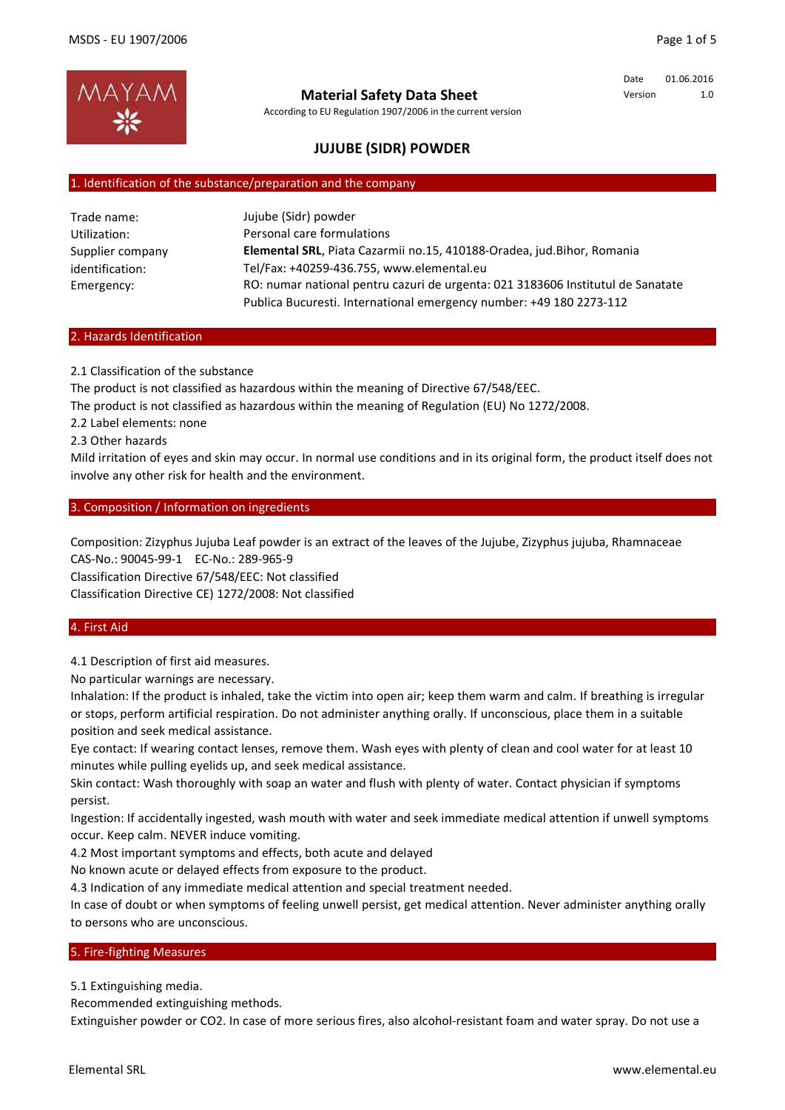

According to EU Regulation 1907/2006 in the current version

Date 01.06.2016 Version 1.0

# **JUJUBE (SIDR) POWDER**

#### 1. Identification of the substance/preparation and the company

| Trade name:      | Jujube (Sidr) powder                                                            |
|------------------|---------------------------------------------------------------------------------|
| Utilization:     | Personal care formulations                                                      |
| Supplier company | Elemental SRL, Piata Cazarmii no.15, 410188-Oradea, jud.Bihor, Romania          |
| identification:  | Tel/Fax: +40259-436.755, www.elemental.eu                                       |
| Emergency:       | RO: numar national pentru cazuri de urgenta: 021 3183606 Institutul de Sanatate |
|                  | Publica Bucuresti. International emergency number: +49 180 2273-112             |

#### 2. Hazards Identification

2.1 Classification of the substance

The product is not classified as hazardous within the meaning of Directive 67/548/EEC.

The product is not classified as hazardous within the meaning of Regulation (EU) No 1272/2008.

2.2 Label elements: none

2.3 Other hazards

Mild irritation of eyes and skin may occur. In normal use conditions and in its original form, the product itself does not involve any other risk for health and the environment.

3. Composition / Information on ingredients

Composition: Zizyphus Jujuba Leaf powder is an extract of the leaves of the Jujube, Zizyphus jujuba, Rhamnaceae CAS-No.: 90045-99-1 EC-No.: 289-965-9 Classification Directive 67/548/EEC: Not classified Classification Directive CE) 1272/2008: Not classified

### 4. First Aid

4.1 Description of first aid measures.

No particular warnings are necessary.

Inhalation: If the product is inhaled, take the victim into open air; keep them warm and calm. If breathing is irregular or stops, perform artificial respiration. Do not administer anything orally. If unconscious, place them in a suitable position and seek medical assistance.

Eye contact: If wearing contact lenses, remove them. Wash eyes with plenty of clean and cool water for at least 10 minutes while pulling eyelids up, and seek medical assistance.

Skin contact: Wash thoroughly with soap an water and flush with plenty of water. Contact physician if symptoms persist.

Ingestion: If accidentally ingested, wash mouth with water and seek immediate medical attention if unwell symptoms occur. Keep calm. NEVER induce vomiting.

4.2 Most important symptoms and effects, both acute and delayed

No known acute or delayed effects from exposure to the product.

4.3 Indication of any immediate medical attention and special treatment needed.

In case of doubt or when symptoms of feeling unwell persist, get medical attention. Never administer anything orally to persons who are unconscious.

#### 5. Fire-fighting Measures

5.1 Extinguishing media.

Recommended extinguishing methods.

Extinguisher powder or CO2. In case of more serious fires, also alcohol-resistant foam and water spray. Do not use a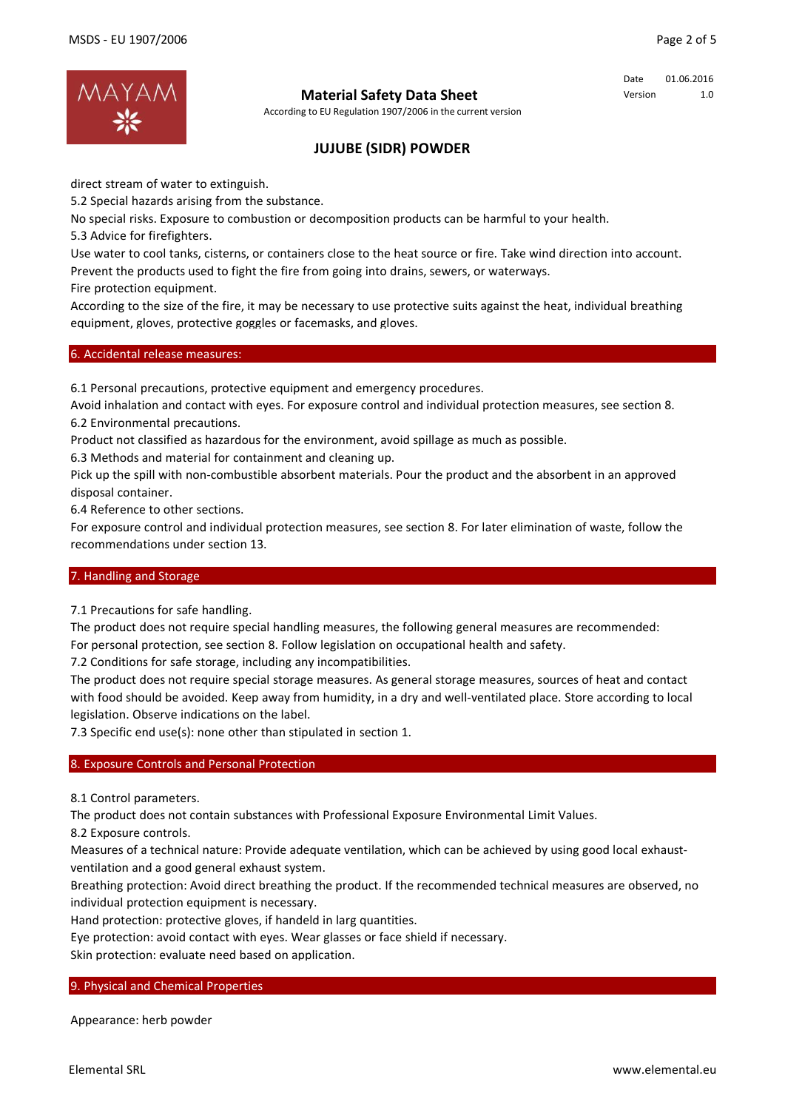

According to EU Regulation 1907/2006 in the current version

Date 01.06.2016 Version 1.0

# **JUJUBE (SIDR) POWDER**

direct stream of water to extinguish.

5.2 Special hazards arising from the substance.

No special risks. Exposure to combustion or decomposition products can be harmful to your health.

5.3 Advice for firefighters.

Use water to cool tanks, cisterns, or containers close to the heat source or fire. Take wind direction into account.

Prevent the products used to fight the fire from going into drains, sewers, or waterways.

Fire protection equipment.

According to the size of the fire, it may be necessary to use protective suits against the heat, individual breathing equipment, gloves, protective goggles or facemasks, and gloves.

## 6. Accidental release measures:

6.1 Personal precautions, protective equipment and emergency procedures.

Avoid inhalation and contact with eyes. For exposure control and individual protection measures, see section 8. 6.2 Environmental precautions.

Product not classified as hazardous for the environment, avoid spillage as much as possible.

6.3 Methods and material for containment and cleaning up.

Pick up the spill with non-combustible absorbent materials. Pour the product and the absorbent in an approved disposal container.

6.4 Reference to other sections.

For exposure control and individual protection measures, see section 8. For later elimination of waste, follow the recommendations under section 13.

### 7. Handling and Storage

7.1 Precautions for safe handling.

The product does not require special handling measures, the following general measures are recommended: For personal protection, see section 8. Follow legislation on occupational health and safety.

7.2 Conditions for safe storage, including any incompatibilities.

The product does not require special storage measures. As general storage measures, sources of heat and contact with food should be avoided. Keep away from humidity, in a dry and well-ventilated place. Store according to local legislation. Observe indications on the label.

7.3 Specific end use(s): none other than stipulated in section 1.

## 8. Exposure Controls and Personal Protection

8.1 Control parameters.

The product does not contain substances with Professional Exposure Environmental Limit Values.

8.2 Exposure controls.

Measures of a technical nature: Provide adequate ventilation, which can be achieved by using good local exhaustventilation and a good general exhaust system.

Breathing protection: Avoid direct breathing the product. If the recommended technical measures are observed, no individual protection equipment is necessary.

Hand protection: protective gloves, if handeld in larg quantities.

Eye protection: avoid contact with eyes. Wear glasses or face shield if necessary.

Skin protection: evaluate need based on application.

### 9. Physical and Chemical Properties

Appearance: herb powder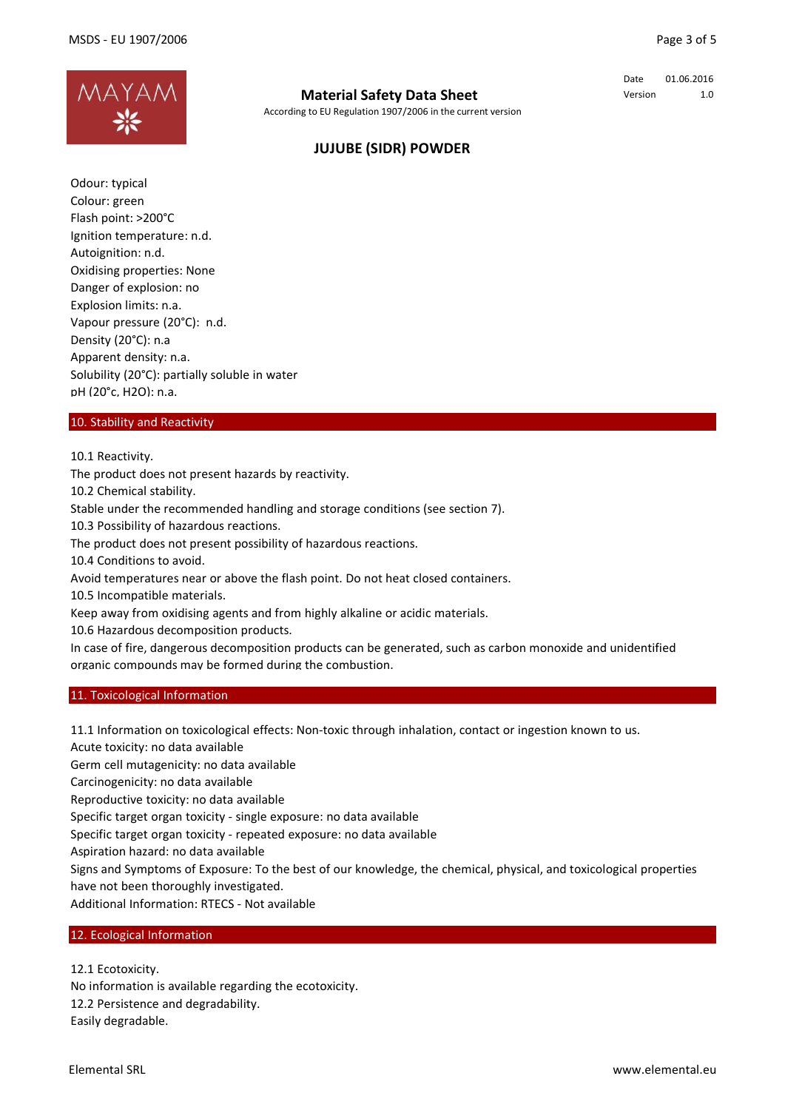

According to EU Regulation 1907/2006 in the current version

Date 01.06.2016 Version 1.0

# **JUJUBE (SIDR) POWDER**

Odour: typical Colour: green Flash point: >200°C Ignition temperature: n.d. Autoignition: n.d. Oxidising properties: None Danger of explosion: no Explosion limits: n.a. Vapour pressure (20°C): n.d. Density (20°C): n.a Apparent density: n.a. Solubility (20°C): partially soluble in water pH (20°c, H2O): n.a.

## 10. Stability and Reactivity

10.1 Reactivity.

The product does not present hazards by reactivity.

10.2 Chemical stability.

Stable under the recommended handling and storage conditions (see section 7).

10.3 Possibility of hazardous reactions.

The product does not present possibility of hazardous reactions.

10.4 Conditions to avoid.

Avoid temperatures near or above the flash point. Do not heat closed containers.

10.5 Incompatible materials.

Keep away from oxidising agents and from highly alkaline or acidic materials.

10.6 Hazardous decomposition products.

In case of fire, dangerous decomposition products can be generated, such as carbon monoxide and unidentified organic compounds may be formed during the combustion.

#### 11. Toxicological Information

11.1 Information on toxicological effects: Non-toxic through inhalation, contact or ingestion known to us.

Acute toxicity: no data available

Germ cell mutagenicity: no data available

Carcinogenicity: no data available

Reproductive toxicity: no data available

Specific target organ toxicity - single exposure: no data available

Specific target organ toxicity - repeated exposure: no data available

Aspiration hazard: no data available

Signs and Symptoms of Exposure: To the best of our knowledge, the chemical, physical, and toxicological properties have not been thoroughly investigated.

Additional Information: RTECS - Not available

## 12. Ecological Information

12.1 Ecotoxicity.

No information is available regarding the ecotoxicity. 12.2 Persistence and degradability. Easily degradable.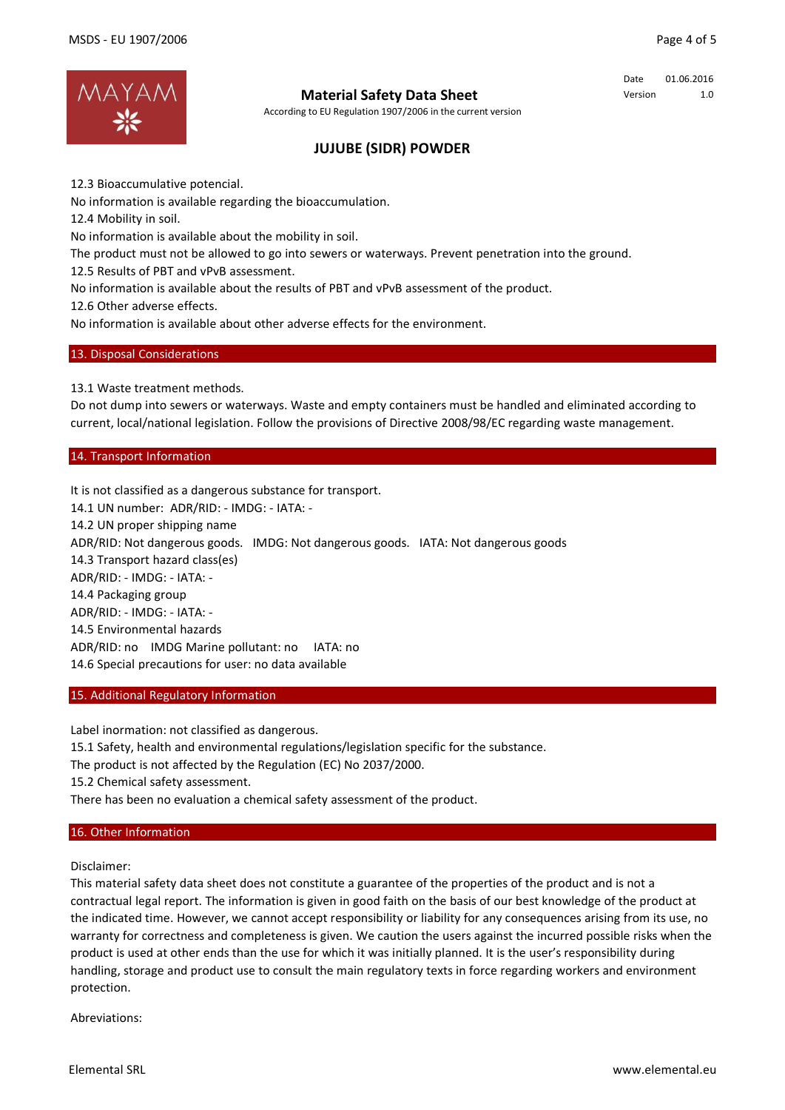

According to EU Regulation 1907/2006 in the current version

Date 01.06.2016 Version 1.0

# **JUJUBE (SIDR) POWDER**

12.3 Bioaccumulative potencial.

No information is available regarding the bioaccumulation.

12.4 Mobility in soil.

No information is available about the mobility in soil.

The product must not be allowed to go into sewers or waterways. Prevent penetration into the ground.

12.5 Results of PBT and vPvB assessment.

No information is available about the results of PBT and vPvB assessment of the product.

12.6 Other adverse effects.

No information is available about other adverse effects for the environment.

### 13. Disposal Considerations

13.1 Waste treatment methods.

Do not dump into sewers or waterways. Waste and empty containers must be handled and eliminated according to current, local/national legislation. Follow the provisions of Directive 2008/98/EC regarding waste management.

## 14. Transport Information

It is not classified as a dangerous substance for transport. 14.1 UN number: ADR/RID: - IMDG: - IATA: - 14.2 UN proper shipping name ADR/RID: Not dangerous goods. IMDG: Not dangerous goods. IATA: Not dangerous goods 14.3 Transport hazard class(es) ADR/RID: - IMDG: - IATA: - 14.4 Packaging group ADR/RID: - IMDG: - IATA: - 14.5 Environmental hazards ADR/RID: no IMDG Marine pollutant: no IATA: no 14.6 Special precautions for user: no data available

### 15. Additional Regulatory Information

Label inormation: not classified as dangerous.

15.1 Safety, health and environmental regulations/legislation specific for the substance.

The product is not affected by the Regulation (EC) No 2037/2000.

15.2 Chemical safety assessment.

There has been no evaluation a chemical safety assessment of the product.

#### 16. Other Information

Disclaimer:

This material safety data sheet does not constitute a guarantee of the properties of the product and is not a contractual legal report. The information is given in good faith on the basis of our best knowledge of the product at the indicated time. However, we cannot accept responsibility or liability for any consequences arising from its use, no warranty for correctness and completeness is given. We caution the users against the incurred possible risks when the product is used at other ends than the use for which it was initially planned. It is the user's responsibility during handling, storage and product use to consult the main regulatory texts in force regarding workers and environment protection.

Abreviations: